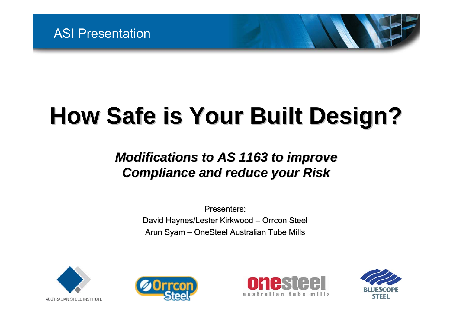# **How Safe is Your Built Design? How Safe is Your Built Design?**

#### *Modifications to AS 1163 to improve Modifications to AS 1163 to improve Compliance and reduce your Risk Compliance and reduce your Risk*

Presenters: David Haynes/Lester Kirkwood – Orrcon Steel Arun Syam – OneSteel Australian Tube Mills







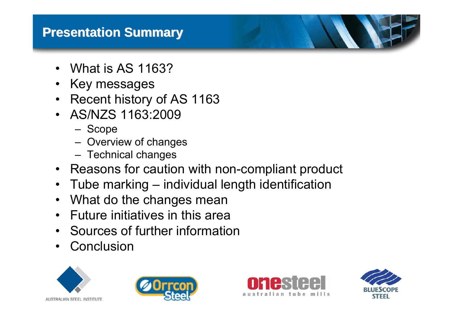#### **Presentation Summary Presentation Summary**

- What is AS 1163?
- •Key messages
- Recent history of AS 1163
- AS/NZS 1163:2009
	- Scope
	- Overview of changes
	- Technical changes
- Reasons for caution with non-compliant product
- Tube marking individual length identification
- What do the changes mean
- Future initiatives in this area
- Sources of further information
- •**Conclusion**







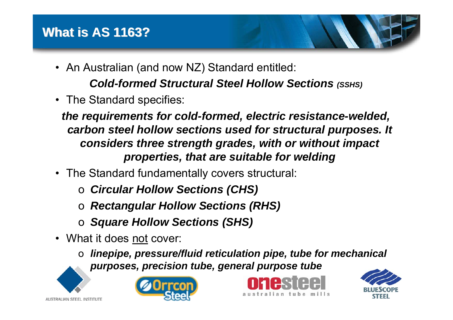- An Australian (and now NZ) Standard entitled: *Cold-formed Structural Steel Hollow Sections (SSHS)*
- The Standard specifies:

*the requirements for cold-formed, electric resistance-welded, carbon steel hollow sections used for structural purposes. It considers three strength grades, with or without impact properties, that are suitable for welding*

- The Standard fundamentally covers structural:
	- o *Circular Hollow Sections (CHS)*
	- o *Rectangular Hollow Sections (RHS)*
	- o *Square Hollow Sections (SHS)*
- What it does not cover:
	- o *linepipe, pressure/fluid reticulation pipe, tube for mechanical purposes, precision tube, general purpose tube*



AUSTRALIAN STEEL INSTITUTE





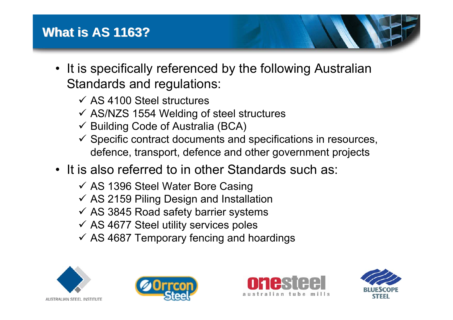#### **What is AS 1163? What is AS 1163?**

- It is specifically referenced by the following Australian Standards and regulations:
	- $\checkmark$  AS 4100 Steel structures
	- $\checkmark$  AS/NZS 1554 Welding of steel structures
	- $\checkmark$  Building Code of Australia (BCA)
	- $\checkmark$  Specific contract documents and specifications in resources, defence, transport, defence and other government projects
- It is also referred to in other Standards such as:
	- $\checkmark$  AS 1396 Steel Water Bore Casing
	- $\checkmark$  AS 2159 Piling Design and Installation
	- $\checkmark$  AS 3845 Road safety barrier systems
	- $\checkmark$  AS 4677 Steel utility services poles
	- $\checkmark$  AS 4687 Temporary fencing and hoardings







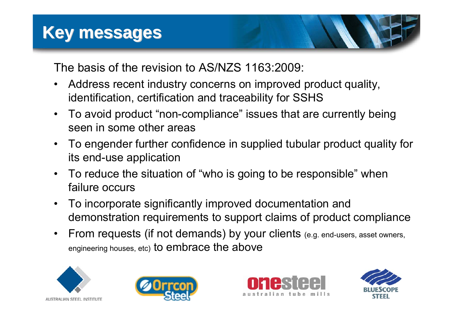The basis of the revision to AS/NZS 1163:2009:

- • Address recent industry concerns on improved product quality, identification, certification and traceability for SSHS
- • To avoid product "non-compliance" issues that are currently being seen in some other areas
- • To engender further confidence in supplied tubular product quality for its end-use application
- • To reduce the situation of "who is going to be responsible" when failure occurs
- $\bullet$  To incorporate significantly improved documentation and demonstration requirements to support claims of product compliance
- $\bullet$  From requests (if not demands) by your clients (e.g. end-users, asset owners, engineering houses, etc) to embrace the above







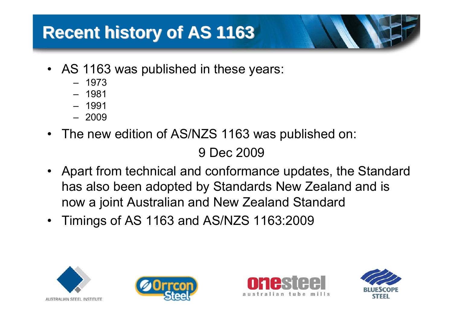### **Recent history of AS 1163 Recent history of AS 1163**

- AS 1163 was published in these years:
	- 1973
	- 1981
	- 1991
	- 2009
- The new edition of AS/NZS 1163 was published on:

9 Dec 2009

- Apart from technical and conformance updates, the Standard has also been adopted by Standards New Zealand and is now a joint Australian and New Zealand Standard
- Timings of AS 1163 and AS/NZS 1163:2009







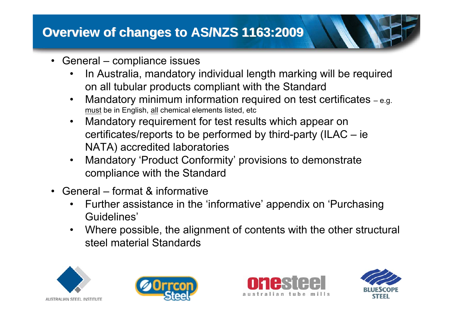#### **Overview of changes to AS/NZS 1163:2009 Overview of changes to AS/NZS 1163:2009**

- •• General – compliance issues
	- • In Australia, mandatory individual length marking will be required on all tubular products compliant with the Standard
	- $\bullet$  Mandatory minimum information required on test certificates – e.g. <u>must</u> be in English, <u>all</u> chemical elements listed, etc
	- • Mandatory requirement for test results which appear on certificates/reports to be performed by third-party (ILAC – ie NATA) accredited laboratories
	- • Mandatory 'Product Conformity' provisions to demonstrate compliance with the Standard
- $\bullet$  General – format & informative
	- $\bullet$  Further assistance in the 'informative' appendix on 'Purchasing Guidelines'
	- • Where possible, the alignment of contents with the other structural steel material Standards







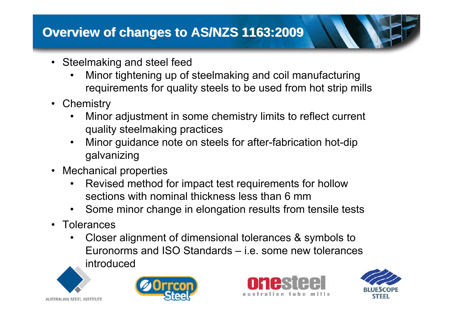#### **Overview of changes to AS/NZS 1163:2009 Overview of changes to AS/NZS 1163:2009**

- Steelmaking and steel feed
	- • Minor tightening up of steelmaking and coil manufacturing requirements for quality steels to be used from hot strip mills
- Chemistry
	- • Minor adjustment in some chemistry limits to reflect current quality steelmaking practices
	- $\bullet$  Minor guidance note on steels for after-fabrication hot-dip galvanizing
- • Mechanical properties
	- • Revised method for impact test requirements for hollow sections with nominal thickness less than 6 mm
	- •Some minor change in elongation results from tensile tests
- •**Tolerances** 
	- • Closer alignment of dimensional tolerances & symbols to Euronorms and ISO Standards – i.e. some new tolerances introduced







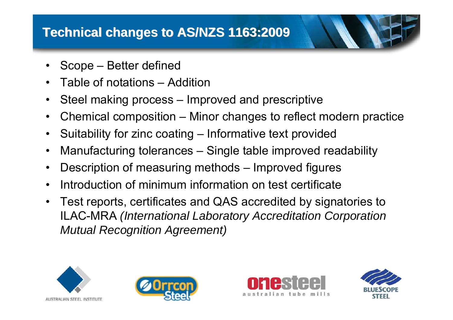- •Scope – Better defined
- •Table of notations – Addition
- •Steel making process – Improved and prescriptive
- •Chemical composition – Minor changes to reflect modern practice
- •Suitability for zinc coating – Informative text provided
- •Manufacturing tolerances – Single table improved readability
- •Description of measuring methods – Improved figures
- •Introduction of minimum information on test certificate
- • Test reports, certificates and QAS accredited by signatories to ILAC-MRA *(International Laboratory Accreditation Corporation Mutual Recognition Agreement)*







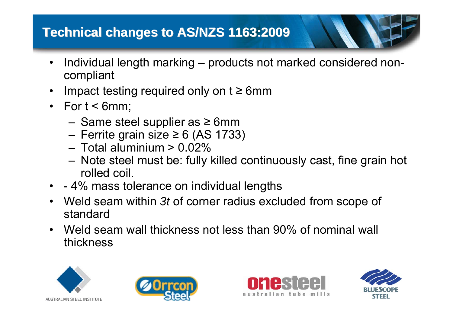### **Technical changes to AS/NZS 1163:2009 Technical changes to AS/NZS 1163:2009**

- • Individual length marking – products not marked considered noncompliant
- $\bullet$ • Impact testing required only on  $t \geq 6$ mm
- For t < 6mm;
	- –– Same steel supplier as ≥ 6mm
	- –Ferrite grain size ≥ 6 (AS 1733)
	- Total aluminium > 0.02%
	- – Note steel must be: fully killed continuously cast, fine grain hot rolled coil.
- -4% mass tolerance on individual lengths
- • Weld seam within *3t* of corner radius excluded from scope of standard
- Weld seam wall thickness not less than 90% of nominal wall thickness







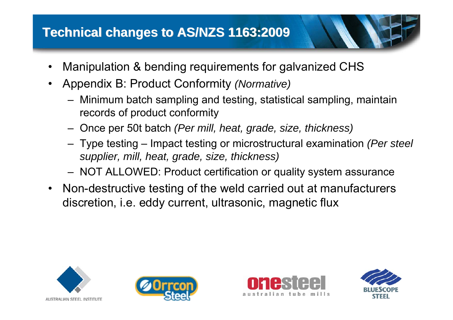#### **Technical changes to AS/NZS 1163:2009 Technical changes to AS/NZS 1163:2009**

- •Manipulation & bending requirements for galvanized CHS
- • Appendix B: Product Conformity *(Normative)*
	- – Minimum batch sampling and testing, statistical sampling, maintain records of product conformity
	- Once per 50t batch *(Per mill, heat, grade, size, thickness)*
	- – Type testing – Impact testing or microstructural examination *(Per steel supplier, mill, heat, grade, size, thickness)*
	- –NOT ALLOWED: Product certification or quality system assurance
- • Non-destructive testing of the weld carried out at manufacturers discretion, i.e. eddy current, ultrasonic, magnetic flux







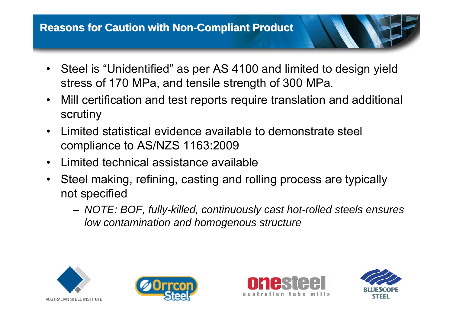- Steel is "Unidentified" as per AS 4100 and limited to design yield stress of 170 MPa, and tensile strength of 300 MPa.
- • Mill certification and test reports require translation and additional scrutiny
- • Limited statistical evidence available to demonstrate steel compliance to AS/NZS 1163:2009
- •Limited technical assistance available
- • Steel making, refining, casting and rolling process are typically not specified
	- *NOTE: BOF, fully-killed, continuously cast hot-rolled steels ensures low contamination and homogenous structure*







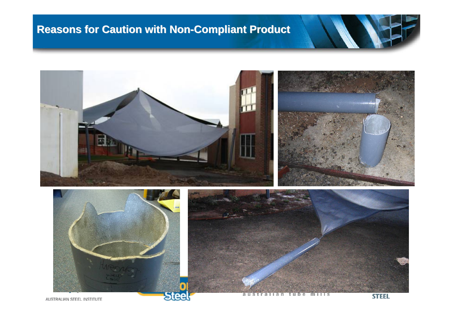#### **Reasons for Caution with Non Reasons for Caution with Non -Compliant Product Compliant Product**



m  $111S$ a u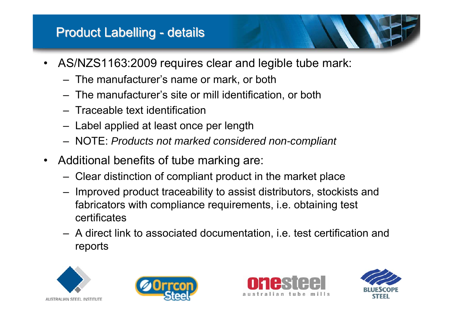#### **Product Labelling - details**

- • AS/NZS1163:2009 requires clear and legible tube mark:
	- The manufacturer's name or mark, or both
	- The manufacturer's site or mill identification, or both
	- Traceable text identification
	- $-$  Label applied at least once per length
	- NOTE: *Products not marked considered non-compliant*
- • Additional benefits of tube marking are:
	- Clear distinction of compliant product in the market place
	- $-$  Improved product traceability to assist distributors, stockists and fabricators with compliance requirements, i.e. obtaining test certificates
	- A direct link to associated documentation, i.e. test certification and reports







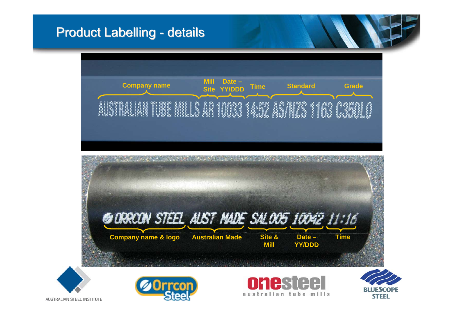#### **Product Labelling - details**

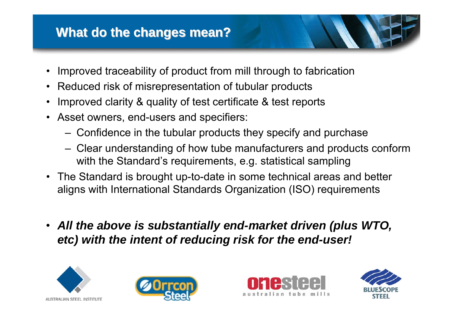#### **What do the changes mean? What do the changes mean?**

- •Improved traceability of product from mill through to fabrication
- •Reduced risk of misrepresentation of tubular products
- •Improved clarity & quality of test certificate & test reports
- Asset owners, end-users and specifiers:
	- –Confidence in the tubular products they specify and purchase
	- – Clear understanding of how tube manufacturers and products conform with the Standard's requirements, e.g. statistical sampling
- The Standard is brought up-to-date in some technical areas and better aligns with International Standards Organization (ISO) requirements
- *All the above is substantially end-market driven (plus WTO, etc) with the intent of reducing risk for the end-user!*







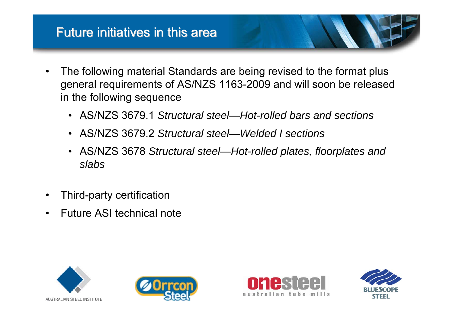#### Future initiatives in this area

- • The following material Standards are being revised to the format plus general requirements of AS/NZS 1163-2009 and will soon be released in the following sequence
	- AS/NZS 3679.1 *Structural steel—Hot-rolled bars and sections*
	- AS/NZS 3679.2 *Structural steel—Welded I sections*
	- AS/NZS 3678 *Structural steel—Hot-rolled plates, floorplates and slabs*
- •Third-party certification
- •Future ASI technical note







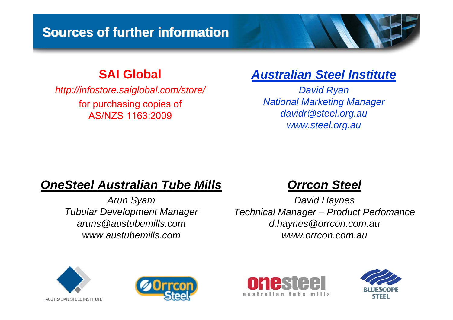#### **Sources of further information Sources of further information**

#### **SAI Global**

*http://infostore.saiglobal.com/store/* for purchasing copies of AS/NZS 1163:2009

#### *Australian Steel Institute*

*David Ryan National Marketing Manager davidr@steel.org.au www.steel.org.au*

#### *OneSteel Australian Tube Mills*

*Arun Syam Tubular Development Manager aruns@austubemills.comwww.austubemills.com*

#### *Orrcon Steel*

*David Haynes Technical Manager – Product Perfomance d.haynes@orrcon.com.au www.orrcon.com.au*







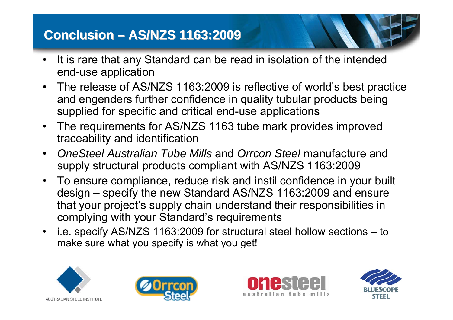#### **Conclusion Conclusion –AS/NZS 1163:2009 AS/NZS 1163:2009**

- • It is rare that any Standard can be read in isolation of the intended end-use application
- • The release of AS/NZS 1163:2009 is reflective of world's best practice and engenders further confidence in quality tubular products being supplied for specific and critical end-use applications
- • The requirements for AS/NZS 1163 tube mark provides improved traceability and identification
- • *OneSteel Australian Tube Mills* and *Orrcon Steel* manufacture and supply structural products compliant with AS/NZS 1163:2009
- • To ensure compliance, reduce risk and instil confidence in your built design – specify the new Standard AS/NZS 1163:2009 and ensure that your project's supply chain understand their responsibilities in complying with your Standard's requirements
- • i.e. specify AS/NZS 1163:2009 for structural steel hollow sections – to make sure what you specify is what you get!